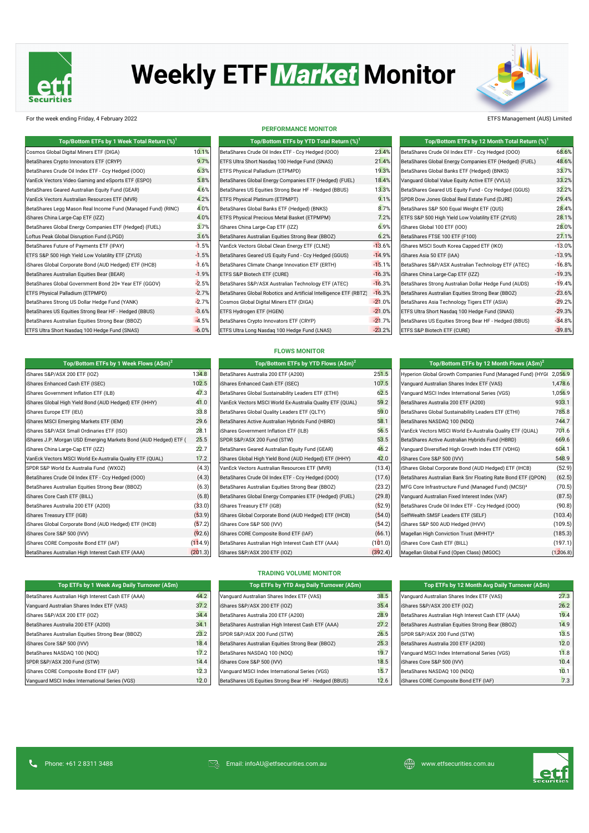

# **Weekly ETF Market Monitor**



# For the week ending Friday, 4 February 2022 ETFS Management (AUS) Limited

| Top/Bottom ETFs by 1 Week Total Return (%) <sup>1</sup>      |         | Top/Bottom ETFs by YTD Total Return (%) <sup>1</sup>              |          | Top/Bottom ETFs by 12 Month Total Return (%) <sup>1</sup> |          |
|--------------------------------------------------------------|---------|-------------------------------------------------------------------|----------|-----------------------------------------------------------|----------|
| Cosmos Global Digital Miners ETF (DIGA)                      | 10.1%   | BetaShares Crude Oil Index ETF - Ccy Hedged (000)                 | 23.4%    | BetaShares Crude Oil Index ETF - Ccy Hedged (000)         | 68.6%    |
| BetaShares Crypto Innovators ETF (CRYP)                      | 9.7%    | ETFS Ultra Short Nasdaq 100 Hedge Fund (SNAS)                     | 21.4%    | BetaShares Global Energy Companies ETF (Hedged) (FUEL)    | 48.6%    |
| BetaShares Crude Oil Index ETF - Ccy Hedged (OOO)            | 6.3%    | ETFS Physical Palladium (ETPMPD)                                  | 19.3%    | BetaShares Global Banks ETF (Hedged) (BNKS)               | 33.7%    |
| VanEck Vectors Video Gaming and eSports ETF (ESPO)           | 5.8%    | BetaShares Global Energy Companies ETF (Hedged) (FUEL)            | 18.4%    | Vanquard Global Value Equity Active ETF (VVLU)            | 33.2%    |
| BetaShares Geared Australian Equity Fund (GEAR)              | 4.6%    | BetaShares US Equities Strong Bear HF - Hedged (BBUS)             | 13.3%    | BetaShares Geared US Equity Fund - Ccy Hedged (GGUS)      | 32.2%    |
| VanEck Vectors Australian Resources ETF (MVR)                | 4.2%    | ETFS Physical Platinum (ETPMPT)                                   | 9.1%     | SPDR Dow Jones Global Real Estate Fund (DJRE)             | 29.4%    |
| BetaShares Legg Mason Real Income Fund (Managed Fund) (RINC) | 4.0%    | BetaShares Global Banks ETF (Hedged) (BNKS)                       | 8.7%     | BetaShares S&P 500 Equal Weight ETF (QUS)                 | 28.4%    |
| iShares China Large-Cap ETF (IZZ)                            | 4.0%    | ETFS Physical Precious Metal Basket (ETPMPM)                      | 7.2%     | ETFS S&P 500 High Yield Low Volatility ETF (ZYUS)         | 28.1%    |
| BetaShares Global Energy Companies ETF (Hedged) (FUEL)       | 3.7%    | iShares China Large-Cap ETF (IZZ)                                 | 6.9%     | iShares Global 100 ETF (IOO)                              | 28.0%    |
| Loftus Peak Global Disruption Fund (LPGD)                    | 3.6%    | BetaShares Australian Equities Strong Bear (BBOZ)                 | 6.2%     | BetaShares FTSE 100 ETF (F100)                            | 27.1%    |
| BetaShares Future of Payments ETF (IPAY)                     | $-1.5%$ | VanEck Vectors Global Clean Energy ETF (CLNE)                     | $-13.6%$ | iShares MSCI South Korea Capped ETF (IKO)                 | $-13.0%$ |
| ETFS S&P 500 High Yield Low Volatility ETF (ZYUS)            | $-1.5%$ | BetaShares Geared US Equity Fund - Ccy Hedged (GGUS)              | $-14.9%$ | iShares Asia 50 ETF (IAA)                                 | $-13.9%$ |
| iShares Global Corporate Bond (AUD Hedged) ETF (IHCB)        | $-1.6%$ | BetaShares Climate Change Innovation ETF (ERTH)                   | $-15.1%$ | BetaShares S&P/ASX Australian Technology ETF (ATEC)       | $-16.8%$ |
| BetaShares Australian Equities Bear (BEAR)                   | $-1.9%$ | ETFS S&P Biotech ETF (CURE)                                       | $-16.3%$ | iShares China Large-Cap ETF (IZZ)                         | $-19.3%$ |
| BetaShares Global Government Bond 20+ Year ETF (GGOV)        | $-2.5%$ | BetaShares S&P/ASX Australian Technology ETF (ATEC)               | $-16.3%$ | BetaShares Strong Australian Dollar Hedge Fund (AUDS)     | $-19.4%$ |
| ETFS Physical Palladium (ETPMPD)                             | $-2.7%$ | BetaShares Global Robotics and Artificial Intelligence ETF (RBTZ) | $-16.3%$ | BetaShares Australian Equities Strong Bear (BBOZ)         | $-23.6%$ |
| BetaShares Strong US Dollar Hedge Fund (YANK)                | $-2.7%$ | Cosmos Global Digital Miners ETF (DIGA)                           | $-21.0%$ | BetaShares Asia Technology Tigers ETF (ASIA)              | $-29.2%$ |
| BetaShares US Equities Strong Bear HF - Hedged (BBUS)        | $-3.6%$ | ETFS Hydrogen ETF (HGEN)                                          | $-21.0%$ | ETFS Ultra Short Nasdaq 100 Hedge Fund (SNAS)             | $-29.3%$ |
| BetaShares Australian Equities Strong Bear (BBOZ)            | $-4.5%$ | BetaShares Crypto Innovators ETF (CRYP)                           | $-21.7%$ | BetaShares US Equities Strong Bear HF - Hedged (BBUS)     | $-34.8%$ |
| ETFS Ultra Short Nasdaq 100 Hedge Fund (SNAS)                | $-6.0%$ | ETFS Ultra Long Nasdaq 100 Hedge Fund (LNAS)                      | $-23.2%$ | ETFS S&P Biotech ETF (CURE)                               | $-39.8%$ |

#### **PERFORMANCE MONITOR**

| Top/Bottom ETFs by 1 Week Total Return $\left(\%\right)^{1}$ |         | Top/Bottom ETFs by YTD Total Return (%) <sup>1</sup>              |          | Top/Bottom ETFs by 12 Month Total Return (%)           |
|--------------------------------------------------------------|---------|-------------------------------------------------------------------|----------|--------------------------------------------------------|
| I Digital Miners ETF (DIGA)                                  | 10.1%   | BetaShares Crude Oil Index ETF - Ccy Hedged (000)                 | 23.4%    | BetaShares Crude Oil Index ETF - Ccy Hedged (000)      |
| ypto Innovators ETF (CRYP)                                   | 9.7%    | ETFS Ultra Short Nasdag 100 Hedge Fund (SNAS)                     | 21.4%    | BetaShares Global Energy Companies ETF (Hedged) (FUEL) |
| ude Oil Index ETF - Ccy Hedged (000)                         | 6.3%    | ETFS Physical Palladium (ETPMPD)                                  | 19.3%    | BetaShares Global Banks ETF (Hedged) (BNKS)            |
| s Video Gaming and eSports ETF (ESPO)                        | 5.8%    | BetaShares Global Energy Companies ETF (Hedged) (FUEL)            | 18.4%    | Vanquard Global Value Equity Active ETF (VVLU)         |
| ared Australian Equity Fund (GEAR)                           | 4.6%    | BetaShares US Equities Strong Bear HF - Hedged (BBUS)             | 13.3%    | BetaShares Geared US Equity Fund - Ccy Hedged (GGUS)   |
| s Australian Resources ETF (MVR)                             | 4.2%    | ETFS Physical Platinum (ETPMPT)                                   | 9.1%     | SPDR Dow Jones Global Real Estate Fund (DJRE)          |
| gg Mason Real Income Fund (Managed Fund) (RINC)              | 4.0%    | BetaShares Global Banks ETF (Hedged) (BNKS)                       | 8.7%     | BetaShares S&P 500 Equal Weight ETF (QUS)              |
| Large-Cap ETF (IZZ)                                          | 4.0%    | ETFS Physical Precious Metal Basket (ETPMPM)                      | 7.2%     | ETFS S&P 500 High Yield Low Volatility ETF (ZYUS)      |
| obal Energy Companies ETF (Hedged) (FUEL)                    | 3.7%    | iShares China Large-Cap ETF (IZZ)                                 | 6.9%     | iShares Global 100 ETF (IOO)                           |
| obal Disruption Fund (LPGD)                                  | 3.6%    | BetaShares Australian Equities Strong Bear (BBOZ)                 | 6.2%     | BetaShares FTSE 100 ETF (F100)                         |
| ture of Payments ETF (IPAY)                                  | $-1.5%$ | VanEck Vectors Global Clean Energy ETF (CLNE)                     | $-13.6%$ | iShares MSCI South Korea Capped ETF (IKO)              |
| High Yield Low Volatility ETF (ZYUS)                         | $-1.5%$ | BetaShares Geared US Equity Fund - Ccy Hedged (GGUS)              | $-14.9%$ | iShares Asia 50 ETF (IAA)                              |
| Corporate Bond (AUD Hedged) ETF (IHCB)                       | $-1.6%$ | BetaShares Climate Change Innovation ETF (ERTH)                   | $-15.1%$ | BetaShares S&P/ASX Australian Technology ETF (ATEC)    |
| stralian Equities Bear (BEAR)                                | $-1.9%$ | ETFS S&P Biotech ETF (CURE)                                       | $-16.3%$ | iShares China Large-Cap ETF (IZZ)                      |
| obal Government Bond 20+ Year ETF (GGOV)                     | $-2.5%$ | BetaShares S&P/ASX Australian Technology ETF (ATEC)               | $-16.3%$ | BetaShares Strong Australian Dollar Hedge Fund (AUDS)  |
| Palladium (ETPMPD)                                           | $-2.7%$ | BetaShares Global Robotics and Artificial Intelligence ETF (RBTZ) | $-16.3%$ | BetaShares Australian Equities Strong Bear (BBOZ)      |
| rong US Dollar Hedge Fund (YANK)                             | $-2.7%$ | Cosmos Global Digital Miners ETF (DIGA)                           | $-21.0%$ | BetaShares Asia Technology Tigers ETF (ASIA)           |
| Equities Strong Bear HF - Hedged (BBUS)                      | $-3.6%$ | ETFS Hydrogen ETF (HGEN)                                          | $-21.0%$ | ETFS Ultra Short Nasdaq 100 Hedge Fund (SNAS)          |
| stralian Equities Strong Bear (BBOZ)                         | $-4.5%$ | BetaShares Crypto Innovators ETF (CRYP)                           | $-21.7%$ | BetaShares US Equities Strong Bear HF - Hedged (BBUS)  |
| ort Nasdaq 100 Hedge Fund (SNAS)                             | $-6.0%$ | ETFS Ultra Long Nasdaq 100 Hedge Fund (LNAS)                      | $-23.2%$ | ETFS S&P Biotech ETF (CURE)                            |
|                                                              |         |                                                                   |          |                                                        |

| Top/Bottom ETFs by 12 Month Total Return (%) <sup>1</sup> |          |
|-----------------------------------------------------------|----------|
| BetaShares Crude Oil Index ETF - Ccy Hedged (000)         | 68.6%    |
| BetaShares Global Energy Companies ETF (Hedged) (FUEL)    | 48.6%    |
| BetaShares Global Banks ETF (Hedged) (BNKS)               | 33.7%    |
| Vanguard Global Value Equity Active ETF (VVLU)            | 33.2%    |
| BetaShares Geared US Equity Fund - Ccy Hedged (GGUS)      | 32.2%    |
| SPDR Dow Jones Global Real Estate Fund (DJRE)             | 29.4%    |
| BetaShares S&P 500 Equal Weight ETF (QUS)                 | 28.4%    |
| ETFS S&P 500 High Yield Low Volatility ETF (ZYUS)         | 28.1%    |
| iShares Global 100 ETF (IOO)                              | 28.0%    |
| BetaShares FTSE 100 ETF (F100)                            | 27.1%    |
| iShares MSCI South Korea Capped ETF (IKO)                 | $-13.0%$ |
| iShares Asia 50 ETF (IAA)                                 | $-13.9%$ |
| BetaShares S&P/ASX Australian Technology ETF (ATEC)       | $-16.8%$ |
| iShares China Large-Cap ETF (IZZ)                         | $-19.3%$ |
| BetaShares Strong Australian Dollar Hedge Fund (AUDS)     | $-19.4%$ |
| BetaShares Australian Equities Strong Bear (BBOZ)         | $-23.6%$ |
| BetaShares Asia Technology Tigers ETF (ASIA)              | $-29.2%$ |
| ETFS Ultra Short Nasdag 100 Hedge Fund (SNAS)             | $-29.3%$ |
| BetaShares US Equities Strong Bear HF - Hedged (BBUS)     | $-34.8%$ |
|                                                           |          |

# **FLOWS MONITOR**

| Top/Bottom ETFs by 1 Week Flows $(A\sin^2)$                      |         | Top/Bottom ETFs by YTD Flows (A\$m) <sup>2</sup>          |         | Top/Bottom ETFs by 12 Month Flows $(A\hat{S}m)^2$                 |           |  |
|------------------------------------------------------------------|---------|-----------------------------------------------------------|---------|-------------------------------------------------------------------|-----------|--|
| iShares S&P/ASX 200 ETF (IOZ)                                    | 134.8   | BetaShares Australia 200 ETF (A200)                       | 251.5   | Hyperion Global Growth Companies Fund (Managed Fund) (HYG(2,056.9 |           |  |
| iShares Enhanced Cash ETF (ISEC)                                 | 102.5   | iShares Enhanced Cash ETF (ISEC)                          | 107.5   | Vanguard Australian Shares Index ETF (VAS)                        | 1,478.6   |  |
| iShares Government Inflation ETF (ILB)                           | 47.3    | BetaShares Global Sustainability Leaders ETF (ETHI)       | 62.5    | Vanquard MSCI Index International Series (VGS)                    | 1,056.9   |  |
| iShares Global High Yield Bond (AUD Hedged) ETF (IHHY)           | 41.0    | VanEck Vectors MSCI World Ex-Australia Quality ETF (QUAL) | 59.2    | BetaShares Australia 200 ETF (A200)                               | 933.1     |  |
| iShares Europe ETF (IEU)                                         | 33.8    | BetaShares Global Quality Leaders ETF (QLTY)              | 59.0    | BetaShares Global Sustainability Leaders ETF (ETHI)               | 785.8     |  |
| iShares MSCI Emerging Markets ETF (IEM)                          | 29.6    | BetaShares Active Australian Hybrids Fund (HBRD)          | 58.1    | BetaShares NASDAQ 100 (NDQ)                                       | 744.7     |  |
| iShares S&P/ASX Small Ordinaries ETF (ISO)                       | 28.1    | iShares Government Inflation ETF (ILB)                    | 56.5    | VanEck Vectors MSCI World Ex-Australia Quality ETF (QUAL)         | 701.6     |  |
| iShares J.P. Morgan USD Emerging Markets Bond (AUD Hedged) ETF ( | 25.5    | SPDR S&P/ASX 200 Fund (STW)                               | 53.5    | BetaShares Active Australian Hybrids Fund (HBRD)                  | 669.6     |  |
| iShares China Large-Cap ETF (IZZ)                                | 22.7    | BetaShares Geared Australian Equity Fund (GEAR)           | 46.2    | Vanquard Diversified High Growth Index ETF (VDHG)                 | 604.1     |  |
| VanEck Vectors MSCI World Ex-Australia Quality ETF (QUAL)        | 17.2    | iShares Global High Yield Bond (AUD Hedged) ETF (IHHY)    | 42.0    | iShares Core S&P 500 (IVV)                                        | 548.9     |  |
| SPDR S&P World Ex Australia Fund (WXOZ)                          | (4.3)   | VanEck Vectors Australian Resources ETF (MVR)             | (13.4)  | iShares Global Corporate Bond (AUD Hedged) ETF (IHCB)             | (52.9)    |  |
| BetaShares Crude Oil Index ETF - Ccy Hedged (000)                | (4.3)   | BetaShares Crude Oil Index ETF - Ccy Hedged (000)         | (17.6)  | BetaShares Australian Bank Snr Floating Rate Bond ETF (QPON)      | (62.5)    |  |
| BetaShares Australian Equities Strong Bear (BBOZ)                | (6.3)   | BetaShares Australian Equities Strong Bear (BBOZ)         | (23.2)  | MFG Core Infrastructure Fund (Managed Fund) (MCSI) <sup>3</sup>   | (70.5)    |  |
| iShares Core Cash ETF (BILL)                                     | (6.8)   | BetaShares Global Energy Companies ETF (Hedged) (FUEL)    | (29.8)  | Vanquard Australian Fixed Interest Index (VAF)                    | (87.5)    |  |
| BetaShares Australia 200 ETF (A200)                              | (33.0)  | iShares Treasury ETF (IGB)                                | (52.9)  | BetaShares Crude Oil Index ETF - Ccy Hedged (000)                 | (90.8)    |  |
| iShares Treasury ETF (IGB)                                       | (53.9)  | iShares Global Corporate Bond (AUD Hedged) ETF (IHCB)     | (54.0)  | SelfWealth SMSF Leaders ETF (SELF)                                | (103.4)   |  |
| iShares Global Corporate Bond (AUD Hedged) ETF (IHCB)            | (57.2)  | iShares Core S&P 500 (IVV)                                | (54.2)  | iShares S&P 500 AUD Hedged (IHVV)                                 | (109.5)   |  |
| iShares Core S&P 500 (IVV)                                       | (92.6)  | iShares CORE Composite Bond ETF (IAF)                     | (66.1)  | Magellan High Conviction Trust (MHHT) <sup>3</sup>                | (185.3)   |  |
| iShares CORE Composite Bond ETF (IAF)                            | (114.9) | BetaShares Australian High Interest Cash ETF (AAA)        | (101.0) | iShares Core Cash ETF (BILL)                                      | (197.1)   |  |
| BetaShares Australian High Interest Cash ETF (AAA)               | (201.3) | iShares S&P/ASX 200 ETF (IOZ)                             | (392.4) | Magellan Global Fund (Open Class) (MGOC)                          | (1,206.8) |  |

| Top/Bottom ETFs by 12 Month Flows $(A\sin^2)$                   |         |
|-----------------------------------------------------------------|---------|
| Hyperion Global Growth Companies Fund (Managed Fund) (HYG(      | 2.056.9 |
| Vanguard Australian Shares Index ETF (VAS)                      | 1,478.6 |
| Vanguard MSCI Index International Series (VGS)                  | 1,056.9 |
| BetaShares Australia 200 ETF (A200)                             | 933.1   |
| BetaShares Global Sustainability Leaders ETF (ETHI)             | 785.8   |
| BetaShares NASDAQ 100 (NDQ)                                     | 744.7   |
| VanEck Vectors MSCI World Ex-Australia Quality ETF (QUAL)       | 701.6   |
| BetaShares Active Australian Hybrids Fund (HBRD)                | 669.6   |
| Vanquard Diversified High Growth Index ETF (VDHG)               | 604.1   |
| iShares Core S&P 500 (IVV)                                      | 548.9   |
| iShares Global Corporate Bond (AUD Hedged) ETF (IHCB)           | (52.9)  |
| BetaShares Australian Bank Snr Floating Rate Bond ETF (QPON)    | (62.5)  |
| MFG Core Infrastructure Fund (Managed Fund) (MCSI) <sup>3</sup> | (70.5)  |
| Vanguard Australian Fixed Interest Index (VAF)                  | (87.5)  |
| BetaShares Crude Oil Index ETF - Ccy Hedged (000)               | (90.8)  |
| SelfWealth SMSF Leaders ETF (SELF)                              | (103.4) |
| iShares S&P 500 AUD Hedged (IHVV)                               | (109.5) |
| Magellan High Conviction Trust (MHHT) <sup>3</sup>              | (185.3) |
| iShares Core Cash ETF (BILL)                                    | (197.1) |
|                                                                 |         |

| Top ETFs by T week Avg Daily Turnover (ASM)        |      | TOD ETES BY YID AVG DAILY TURNOVER (ASM)              |      | Top ETFS by 12 Month Avg Daily Turnover (ASM)      |      |
|----------------------------------------------------|------|-------------------------------------------------------|------|----------------------------------------------------|------|
| BetaShares Australian High Interest Cash ETF (AAA) | 44.2 | Vanquard Australian Shares Index ETF (VAS)            | 38.5 | Vanquard Australian Shares Index ETF (VAS)         | 27.3 |
| Vanquard Australian Shares Index ETF (VAS)         | 37.2 | iShares S&P/ASX 200 ETF (IOZ)                         | 35.4 | iShares S&P/ASX 200 ETF (IOZ)                      | 26.2 |
| iShares S&P/ASX 200 ETF (IOZ)                      | 34.4 | BetaShares Australia 200 ETF (A200)                   | 28.9 | BetaShares Australian High Interest Cash ETF (AAA) | 19.4 |
| BetaShares Australia 200 ETF (A200)                | 34.1 | BetaShares Australian High Interest Cash ETF (AAA)    | 27.2 | BetaShares Australian Equities Strong Bear (BBOZ)  | 14.9 |
| BetaShares Australian Equities Strong Bear (BBOZ)  | 23.2 | SPDR S&P/ASX 200 Fund (STW)                           | 26.5 | SPDR S&P/ASX 200 Fund (STW)                        | 13.5 |
| iShares Core S&P 500 (IVV)                         | 18.4 | BetaShares Australian Equities Strong Bear (BBOZ)     | 25.3 | BetaShares Australia 200 ETF (A200)                | 12.0 |
| BetaShares NASDAQ 100 (NDQ)                        | 17.2 | BetaShares NASDAQ 100 (NDQ)                           | 19.7 | Vanquard MSCI Index International Series (VGS)     | 11.8 |
| SPDR S&P/ASX 200 Fund (STW)                        | 14.4 | iShares Core S&P 500 (IVV)                            | 18.5 | iShares Core S&P 500 (IVV)                         | 10.4 |
| iShares CORE Composite Bond ETF (IAF)              | 12.3 | Vanquard MSCI Index International Series (VGS)        | 15.7 | BetaShares NASDAO 100 (NDO)                        | 10.1 |
| Vanquard MSCI Index International Series (VGS)     | 12.0 | BetaShares US Equities Strong Bear HF - Hedged (BBUS) | 12.6 | iShares CORE Composite Bond ETF (IAF)              | 7.3  |

# **TRADING VOLUME MONITOR**

| Top ETFs by 1 Week Avg Daily Turnover (A\$m) |      | Top ETFs by YTD Avg Daily Turnover (A\$m)             |      | Top ETFs by 12 Month Avg Daily Turnover (A\$m)     |
|----------------------------------------------|------|-------------------------------------------------------|------|----------------------------------------------------|
| ustralian High Interest Cash ETF (AAA)       | 44.2 | Vanguard Australian Shares Index ETF (VAS)            | 38.5 | Vanquard Australian Shares Index ETF (VAS)         |
| tralian Shares Index ETF (VAS)               | 37.2 | iShares S&P/ASX 200 ETF (IOZ)                         | 35.4 | iShares S&P/ASX 200 ETF (IOZ)                      |
| <b>SX 200 ETF (IOZ)</b>                      | 34.4 | BetaShares Australia 200 ETF (A200)                   | 28.9 | BetaShares Australian High Interest Cash ETF (AAA) |
| ustralia 200 ETF (A200)                      | 34.1 | BetaShares Australian High Interest Cash ETF (AAA)    | 27.2 | BetaShares Australian Equities Strong Bear (BBOZ)  |
| ustralian Equities Strong Bear (BBOZ)        | 23.2 | SPDR S&P/ASX 200 Fund (STW)                           | 26.5 | SPDR S&P/ASX 200 Fund (STW)                        |
| S&P 500 (IVV)                                | 18.4 | BetaShares Australian Equities Strong Bear (BBOZ)     | 25.3 | BetaShares Australia 200 ETF (A200)                |
| ASDAQ 100 (NDQ)                              | 17.2 | BetaShares NASDAQ 100 (NDQ)                           | 19.7 | Vanquard MSCI Index International Series (VGS)     |
| X 200 Fund (STW)                             | 14.4 | iShares Core S&P 500 (IVV)                            | 18.5 | iShares Core S&P 500 (IVV)                         |
| Composite Bond ETF (IAF)                     | 12.3 | Vanquard MSCI Index International Series (VGS)        | 15.7 | BetaShares NASDAQ 100 (NDQ)                        |
| CI Index International Series (VGS)          | 12.0 | BetaShares US Equities Strong Bear HF - Hedged (BBUS) | 12.6 | iShares CORE Composite Bond ETF (IAF)              |

| Top ETFs by 12 Month Avg Daily Turnover (A\$m)     |      |
|----------------------------------------------------|------|
| /anguard Australian Shares Index ETF (VAS)         | 27.3 |
| Shares S&P/ASX 200 ETF (IOZ)                       | 26.2 |
| BetaShares Australian High Interest Cash ETF (AAA) | 19.4 |
| BetaShares Australian Equities Strong Bear (BBOZ)  | 14.9 |
| SPDR S&P/ASX 200 Fund (STW)                        | 13.5 |
| BetaShares Australia 200 ETF (A200)                | 12.0 |
| /anguard MSCI Index International Series (VGS)     | 11.8 |
| Shares Core S&P 500 (IVV)                          | 10.4 |
| BetaShares NASDAQ 100 (NDQ)                        | 10.1 |
| Shares CORE Composite Bond ETF (IAF)               | 7.3  |